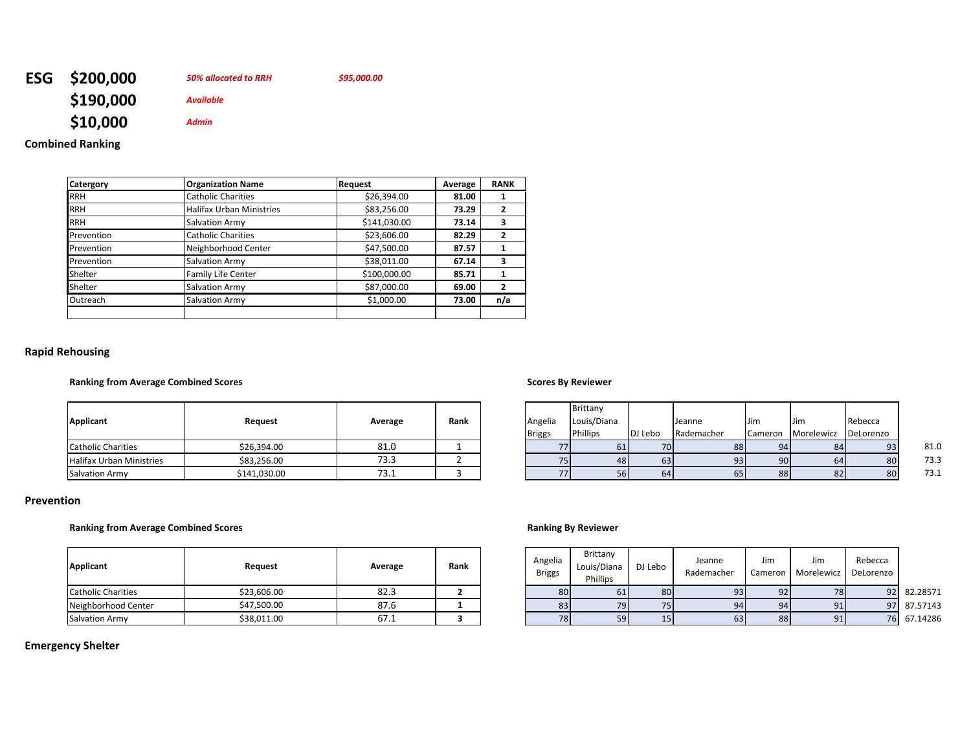| ESG \$200,000 | 50% allocated to RRH | \$95,000.00 |
|---------------|----------------------|-------------|
| \$190,000     | Available            |             |
| \$10,000      | <b>Admin</b>         |             |

## **Combined Ranking**

| Catergory  | <b>Organization Name</b>        | <b>Request</b> | Average | <b>RANK</b>    |
|------------|---------------------------------|----------------|---------|----------------|
| <b>RRH</b> | <b>Catholic Charities</b>       | \$26,394.00    | 81.00   |                |
| <b>RRH</b> | <b>Halifax Urban Ministries</b> | \$83,256.00    | 73.29   | $\mathbf{2}$   |
| <b>RRH</b> | Salvation Army                  | \$141,030.00   | 73.14   | 3              |
| Prevention | <b>Catholic Charities</b>       | \$23,606.00    | 82.29   | $\overline{2}$ |
| Prevention | Neighborhood Center             | \$47,500.00    | 87.57   |                |
| Prevention | Salvation Army                  | \$38,011.00    | 67.14   | 3              |
| Shelter    | <b>Family Life Center</b>       | \$100,000.00   | 85.71   | 1              |
| Shelter    | Salvation Army                  | \$87,000.00    | 69.00   | $\overline{2}$ |
| Outreach   | Salvation Army                  | \$1,000.00     | 73.00   | n/a            |
|            |                                 |                |         |                |

## **Rapid Rehousing**

### **Ranking from Average Combined Scores Scores By Reviewer**

| Applicant                 | Request      | Average | Rank | Angelia<br><b>Briggs</b> |
|---------------------------|--------------|---------|------|--------------------------|
| <b>Catholic Charities</b> | \$26,394.00  | 81.0    |      |                          |
| Halifax Urban Ministries  | \$83,256.00  | 73.3    |      |                          |
| <b>Salvation Army</b>     | \$141,030.00 | 73.1    |      |                          |

| Applicant                | Request      | Average | Rank | Angelia<br><b>Briggs</b> | Brittany<br>Louis/Diana<br><b>Phillips</b> | DJ Lebo         | Jeanne<br>Rademacher | <b>Jim</b> | Jim<br>Cameron Morelewicz | Rebecca<br>DeLorenzo |      |
|--------------------------|--------------|---------|------|--------------------------|--------------------------------------------|-----------------|----------------------|------------|---------------------------|----------------------|------|
| Catholic Charities       | \$26,394.00  | 81.0    |      | 771                      |                                            | 70 <sup>I</sup> | 88                   |            | 84                        | 93                   | 81.0 |
| Halifax Urban Ministries | \$83,256.00  | 73.3    |      |                          |                                            | 63              | 93 <sub>1</sub>      |            | 64                        | 80                   | 73.3 |
| <b>Salvation Armv</b>    | \$141,030.00 | 73.1    |      | 771                      |                                            | 64              | 65                   | 881        | 82                        | 80                   | 73.1 |

### **Prevention**

### **Ranking from Average Combined Scores Ranking By Reviewer**

| Applicant                 | Request     | Average | Rank | Angelia<br>Briggs | Brittany<br>Louis/Diana<br>Phillips | DJ Lebo | Jeanne<br>Rademacher | Jim<br>Cameron I | Jim<br>Morelewicz DeLorenzo | Rebecca |             |
|---------------------------|-------------|---------|------|-------------------|-------------------------------------|---------|----------------------|------------------|-----------------------------|---------|-------------|
| <b>Catholic Charities</b> | \$23,606.00 | 82.3    |      | 80                |                                     | 80      |                      |                  | 78                          | 92      | 82.28571    |
| Neighborhood Center       | \$47,500.00 | 87.6    |      | 83                | 79                                  |         | 94                   | $\Omega$         | 91                          |         | 97 87.57143 |
| <b>Salvation Army</b>     | \$38,011.00 | 67.1    |      | 78                | 59                                  | 15      | 63                   | 88               | 91                          | 76      | 67.14286    |

# **Emergency Shelter**

| Applicant                 | Request     | Average | Rank | Angelia<br><b>Briggs</b> | Brittany<br>Louis/Diana<br>Phillips | DJ Lebo | Jeanne<br>Rademacher | Jim<br>Cameron I | Jim<br>Morelewicz | Rebecca<br>' DeLorenzo |             |
|---------------------------|-------------|---------|------|--------------------------|-------------------------------------|---------|----------------------|------------------|-------------------|------------------------|-------------|
| <b>Catholic Charities</b> | \$23,606.00 | 82.3    |      | 80                       |                                     |         |                      | Q2               | 78                |                        | 92 82.28571 |
| Neighborhood Center       | \$47.500.00 | 87.6    |      | 83                       | 79                                  |         | 94                   | $\Omega$         |                   |                        | 97 87.57143 |
| Salvation Army            | \$38,011.00 | 67.1    |      | 78                       | 59                                  |         | 63                   | 881              |                   |                        | 76 67.14286 |